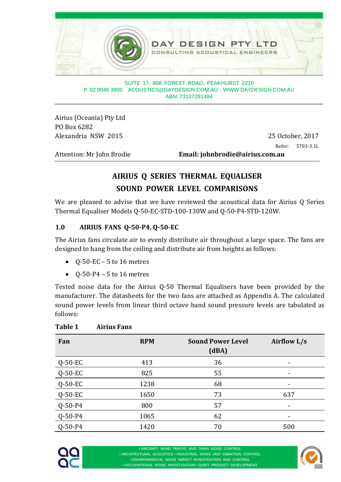

**SUITE 17, 808 FOREST ROAD, PEAKHURST 2210 P. 02 9046 3800 ACOUSTICS@DAYDESIGN.COM.AU WWW.DAYDESIGN.COM.AU ABN: 73107291494** 

Airius (Oceania) Pty Ltd PO Box 6282 Alexandria NSW 2015 25 October, 2017

Refer: 5703-3.1L

Attention: Mr John Brodie **Email:** johnbrodie@airius.com.au

### **AIRIUS Q SERIES THERMAL EQUALISER SOUND POWER LEVEL COMPARISONS**

We are pleased to advise that we have reviewed the acoustical data for Airius Q Series Thermal Equaliser Models Q-50-EC-STD-100-130W and Q-50-P4-STD-120W.

#### **1.0 AIRIUS FANS Q‐50‐P4, Q‐50‐EC**

The Airius fans circulate air to evenly distribute air throughout a large space. The fans are designed to hang from the ceiling and distribute air from heights as follows:

- $\bullet$  Q-50-EC 5 to 16 metres
- $\bullet$  Q-50-P4 5 to 16 metres

Tested noise data for the Airius Q-50 Thermal Equalisers have been provided by the manufacturer. The datasheets for the two fans are attached as Appendix A. The calculated sound power levels from linear third octave band sound pressure levels are tabulated as follows: 

| Fan           | <b>RPM</b> | <b>Sound Power Level</b><br>(dBA) | Airflow L/s |
|---------------|------------|-----------------------------------|-------------|
| $Q$ -50-EC    | 413        | 36                                |             |
| $Q-50-EC$     | 825        | 55                                |             |
| $Q-50-EC$     | 1238       | 68                                |             |
| $Q-50-EC$     | 1650       | 73                                | 637         |
| $Q - 50 - P4$ | 800        | 57                                |             |
| $Q - 50 - P4$ | 1065       | 62                                |             |
| $Q - 50 - P4$ | 1420       | 70                                | 500         |

#### **Table 1 Airius Fans**



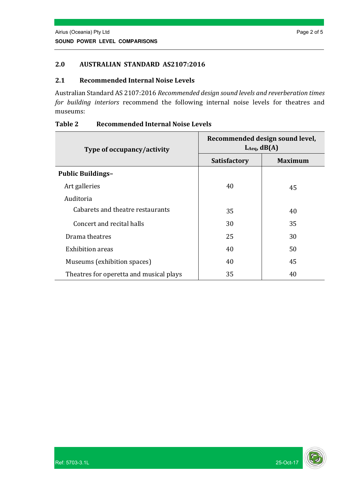#### **2.0 AUSTRALIAN STANDARD AS2107:2016**

#### **2.1 Recommended Internal Noise Levels**

Australian Standard AS 2107:2016 Recommended design sound levels and reverberation times *for building interiors* recommend the following internal noise levels for theatres and museums: 

| Type of occupancy/activity              | Recommended design sound level,<br>$L_{Aeq}$ , dB(A) |                |  |  |
|-----------------------------------------|------------------------------------------------------|----------------|--|--|
|                                         | <b>Satisfactory</b>                                  | <b>Maximum</b> |  |  |
| <b>Public Buildings-</b>                |                                                      |                |  |  |
| Art galleries                           | 40                                                   | 45             |  |  |
| Auditoria                               |                                                      |                |  |  |
| Cabarets and theatre restaurants        | 35                                                   | 40             |  |  |
| Concert and recital halls               | 30                                                   | 35             |  |  |
| Drama theatres                          | 25                                                   | 30             |  |  |
| <b>Exhibition</b> areas                 | 40                                                   | 50             |  |  |
| Museums (exhibition spaces)             | 40                                                   | 45             |  |  |
| Theatres for operetta and musical plays | 35                                                   | 40             |  |  |

#### **Table 2 Recommended Internal Noise Levels**

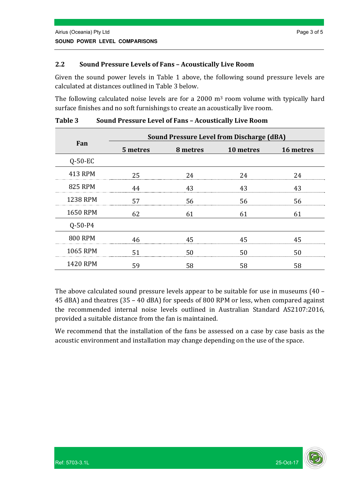#### **2.2 Sound Pressure Levels of Fans – Acoustically Live Room**

Given the sound power levels in Table 1 above, the following sound pressure levels are calculated at distances outlined in Table 3 below.

The following calculated noise levels are for a  $2000 \text{ m}^3$  room volume with typically hard surface finishes and no soft furnishings to create an acoustically live room.

|                 | <b>Sound Pressure Level from Discharge (dBA)</b> |          |           |           |  |  |  |
|-----------------|--------------------------------------------------|----------|-----------|-----------|--|--|--|
| Fan             | 5 metres                                         | 8 metres | 10 metres | 16 metres |  |  |  |
| $Q-50-EC$       |                                                  |          |           |           |  |  |  |
| 413 RPM         | 25                                               | 24       | 24        | 24        |  |  |  |
| <b>825 RPM</b>  | 44                                               | 43       | 43        | 43        |  |  |  |
| <b>1238 RPM</b> | 57                                               | 56       | 56        | 56        |  |  |  |
| <b>1650 RPM</b> | 62                                               | 61       | 61        | 61        |  |  |  |
| $Q - 50 - P4$   |                                                  |          |           |           |  |  |  |
| <b>800 RPM</b>  | 46                                               | 45       | 45        | 45        |  |  |  |
| 1065 RPM        | 51                                               | 50       | 50        | 50        |  |  |  |
| <b>1420 RPM</b> | 59                                               | 58       | 58        | 58        |  |  |  |

**Table 3 Sound Pressure Level of Fans – Acoustically Live Room**

The above calculated sound pressure levels appear to be suitable for use in museums  $(40 45$  dBA) and theatres  $(35 - 40$  dBA) for speeds of 800 RPM or less, when compared against the recommended internal noise levels outlined in Australian Standard AS2107:2016, provided a suitable distance from the fan is maintained.

We recommend that the installation of the fans be assessed on a case by case basis as the acoustic environment and installation may change depending on the use of the space.

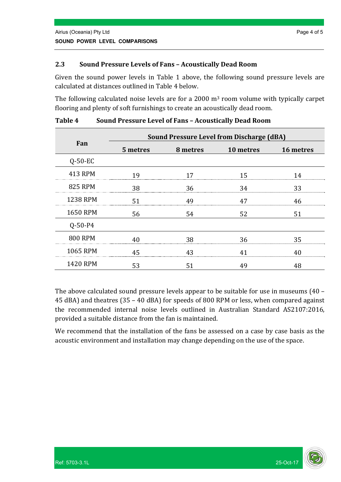#### **2.3 Sound Pressure Levels of Fans – Acoustically Dead Room**

Given the sound power levels in Table 1 above, the following sound pressure levels are calculated at distances outlined in Table 4 below.

The following calculated noise levels are for a 2000 m<sup>3</sup> room volume with typically carpet flooring and plenty of soft furnishings to create an acoustically dead room.

|                 | <b>Sound Pressure Level from Discharge (dBA)</b> |          |           |           |  |  |  |
|-----------------|--------------------------------------------------|----------|-----------|-----------|--|--|--|
| Fan             | 5 metres                                         | 8 metres | 10 metres | 16 metres |  |  |  |
| $Q-50-EC$       |                                                  |          |           |           |  |  |  |
| 413 RPM         | 19                                               | 17       | 15        | 14        |  |  |  |
| <b>825 RPM</b>  | 38                                               | 36       | 34        | 33        |  |  |  |
| <b>1238 RPM</b> | 51                                               | 49       | 47        | 46        |  |  |  |
| <b>1650 RPM</b> | 56                                               | 54       | 52        | 51        |  |  |  |
| $Q - 50 - P4$   |                                                  |          |           |           |  |  |  |
| <b>800 RPM</b>  | 40                                               | 38       | 36        | 35        |  |  |  |
| 1065 RPM        | 45                                               | 43       | 41        | 40        |  |  |  |
| <b>1420 RPM</b> | 53                                               | 51       | 49        | 48        |  |  |  |

**Table 4 Sound Pressure Level of Fans – Acoustically Dead Room**

The above calculated sound pressure levels appear to be suitable for use in museums  $(40 45$  dBA) and theatres  $(35 - 40$  dBA) for speeds of 800 RPM or less, when compared against the recommended internal noise levels outlined in Australian Standard AS2107:2016, provided a suitable distance from the fan is maintained.

We recommend that the installation of the fans be assessed on a case by case basis as the acoustic environment and installation may change depending on the use of the space.

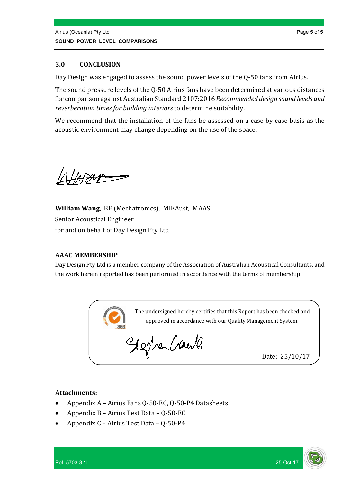#### **3.0 CONCLUSION**

Day Design was engaged to assess the sound power levels of the Q-50 fans from Airius.

The sound pressure levels of the Q-50 Airius fans have been determined at various distances for comparison against Australian Standard 2107:2016 Recommended design sound levels and *reverberation times for building interiors* to determine suitability.

We recommend that the installation of the fans be assessed on a case by case basis as the acoustic environment may change depending on the use of the space.

**William Wang, BE (Mechatronics), MIEAust, MAAS** Senior Acoustical Engineer for and on behalf of Day Design Pty Ltd

#### **AAAC MEMBERSHIP**

Day Design Pty Ltd is a member company of the Association of Australian Acoustical Consultants, and the work herein reported has been performed in accordance with the terms of membership.



#### **Attachments:**

- Appendix A Airius Fans Q-50-EC, Q-50-P4 Datasheets
- Appendix  $B Airius Test Data Q-50-EC$
- Appendix C Airius Test Data Q-50-P4

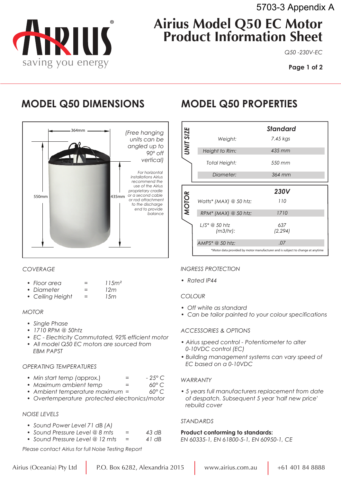

# **Airius Model Q50 EC Motor Product Information Sheet**

*Q50 -230V-EC*

**Page 1 of 2**

# **MODEL Q50 DIMENSIONS MODEL Q50 PROPERTIES**



#### *COVERAGE*

| • Floor area | 115m <sup>2</sup> |
|--------------|-------------------|
|              |                   |

- *ï Diameter = 12m*
- *ï Ceiling Height = 15m*

#### *MOTOR*

- **•** Single Phase
- *ï 1710 RPM @ 50htz*
- *ï EC Electricity Commutated, 92% efficient motor*
- *ï All model Q50 EC motors are sourced from EBM PAPST*

#### *OPERATING TEMPERATURES*

- *ï Min start temp (*approx.) *= 25° C*
- Maximum ambient temp =
- *ï Ambient temperature maximum = 60° C*
- *ï Overtemperature protected electronics/motor*

#### *NOISE LEVELS*

- *ï Sound Power Level 71 dB (A)*
- *ï Sound Pressure Level @ 8 mts = 43 dB*
- *ï Sound Pressure Level @ 12 mts = 41 dB*

*Please contact Airius for full Noise Testing Report*

|                  |                                     | <b>Standard</b>    |  |
|------------------|-------------------------------------|--------------------|--|
| <b>UNIT SIZE</b> | Weight:                             | 7.45 kgs           |  |
|                  | Height to Rim:                      | $435$ mm           |  |
|                  | Total Height:                       | 550 mm             |  |
|                  | Diameter:                           | 364 mm             |  |
|                  |                                     |                    |  |
|                  |                                     |                    |  |
|                  | Watts* (MAX) @ 50 htz:              | <b>230V</b><br>110 |  |
| <b>MOTOR</b>     | $RPM*$ (MAX) $\circledcirc$ 50 htz: | 1710               |  |
|                  | (m3/hr):                            | 637<br>(2, 294)    |  |
|                  | AMPS* @ 50 htz:                     | .07                |  |

#### *INGRESS PROTECTION*

*ï Rated IP44* 

#### *COLOUR*

- *ï Off white as standard*
- *ï Can be tailor painted to your colour specifications*

#### *ACCESSORIES & OPTIONS*

- *ï Airius speed control Potentiometer to alter 0-10VDC control (EC)*
- *ï Building management systems can vary speed of EC based on a 0-10VDC*

#### *WARRANTY*

*ï 5 years full manufacturers replacement from date of despatch. Subsequent 5 year 'half new price' rebuild cover*

#### *STANDARDS*

#### **Product conforming to standards:**

*EN 60335-1, EN 61800-5-1, EN 60950-1, CE*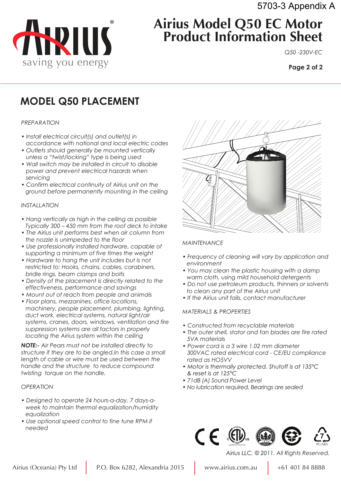

# **Airius Model Q50 EC Motor Product Information Sheet**

*Q50 -230V-EC*

**Page 2 of 2**

# **MODEL Q50 PLACEMENT**

#### *PREPARATION*

- *ï Install electrical circuit(s) and outlet(s) in accordance with national and local electric codes*
- *ï Outlets should generally be mounted vertically unless a "twist/locking" type is being used*
- *ï Wall switch may be installed in circuit to disable power and prevent electrical hazards when servicing*
- *ï Confirm electrical continuity of Airius unit on the ground before permanently mounting in the ceiling*

#### *INSTALLATION*

- *ï Hang vertically as high in the ceiling as possible Typically 300 – 450 mm from the roof deck to intake*
- *ï The Airius unit performs best when air column from the nozzle is unimpeded to the floor*
- *ï Use professionally installed hardware, capable of supporting a minimum of five times the weight*
- *ï Hardware to hang the unit includes but is not restricted to: Hooks, chains, cables, carabiners, bridle rings, beam clamps and bolts*
- *ï Density of the placement is directly related to the effectiveness, performance and savings*
- *ï Mount out of reach from people and animals*
- *ï Floor plans, mezzanines, office locations, machinery, people placement, plumbing, lighting, duct work, electrical systems, natural light/air systems, cranes, doors, windows, ventilation and fire suppression systems are all factors in properly locating the Airius system within the ceiling*

*NOTE:- Air Pears must not be installed directly to structure if they are to be angled.In this case a small length of cable or wire must be used between the handle and the structure to reduce compound twisting torque on the handle.*

#### *OPERATION*

- *ï Designed to operate 24 hours-a-day, 7 days-a week to maintain thermal equalization/humidity equalization*
- *ï Use optional speed control to fine tune RPM if needed*



#### *MAINTENANCE*

- *ï Frequency of cleaning will vary by application and environment*
- *ï You may clean the plastic housing with a damp warm cloth, using mild household detergents*
- *ï Do not use petroleum products, thinners or solvents to clean any part of the Airius unit*
- *ï If the Airius unit fails, contact manufacturer*

#### *MATERIALS & PROPERTIES*

- *ï Constructed from recyclable materials*
- *ï The outer shell, stator and fan blades are fire rated 5VA materials*
- *ï Power cord is a 3 wire 1.02 mm diameter 300VAC rated electrical cord - CE/EU compliance rated as HO5VV*
- *ï Motor is thermally protected. Shutoff is at 135°C & reset is at 125°C*
- *ï 71dB (A) Sound Power Level*
- *ï No lubrication required. Bearings are sealed*



PC/ABS

*Airius LLC, © 2011. All Rights Reserved.*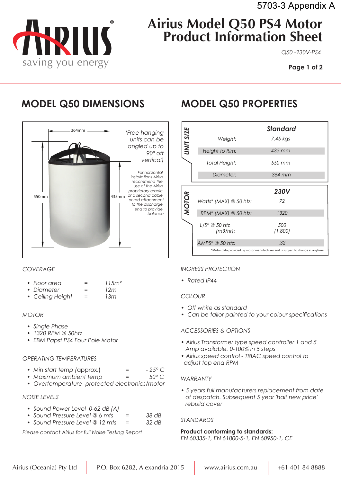

*Q50 -230V-PS4* 

**Page 1 of 2**

# **MODEL Q50 DIMENSIONS MODEL Q50 PROPERTIES**



#### *COVERAGE*

|              | 115m <sup>2</sup> |
|--------------|-------------------|
|              |                   |
| • Floor area |                   |

- *ï Diameter = 12m*
- *ï Ceiling Height = 13m*

#### *MOTOR*

- *ï Single Phase*
- *ï 1320 RPM @ 50htz*
- *ï EBM Papst PS4 Four Pole Motor*

#### *OPERATING TEMPERATURES*

- Min start temp (approx.)  $=$   $-25^{\circ}$  C
- *ï Maximum ambient temp = 50° C*
- *ï Overtemperature protected electronics/motor*

#### *NOISE LEVELS*

- *ï Sound Power Level 0-62 dB (A)*
- *ï Sound Pressure Level @ 6 mts = 38 dB*
- *ï Sound Pressure Level @ 12 mts = 32 dB*

*Please contact Airius for full Noise Testing Report*

|                  |                        | Standard                                                                              |  |
|------------------|------------------------|---------------------------------------------------------------------------------------|--|
| <b>UNIT SIZE</b> | Weight:                | 7.45 kgs                                                                              |  |
|                  | Height to Rim:         | $435$ mm                                                                              |  |
|                  | Total Height:          | 550 mm                                                                                |  |
|                  | Diameter:              | 364 mm                                                                                |  |
|                  |                        |                                                                                       |  |
|                  |                        | <b>230V</b>                                                                           |  |
|                  | Watts* (MAX) @ 50 htz: | 72                                                                                    |  |
| <b>MOTOR</b>     | $RPM*$ (MAX) @ 50 htz: | 1320                                                                                  |  |
|                  | (m3/hr):               | 500<br>(1,800)                                                                        |  |
|                  | AMPS* @ 50 htz:        | .32<br>*Motor data provided by motor manufacturer and is subject to change at anytime |  |

### *INGRESS PROTECTION*

*ï Rated IP44* 

#### *COLOUR*

- *ï Off white as standard*
- *ï Can be tailor painted to your colour specifications*

### *ACCESSORIES & OPTIONS*

- *ï Airius Transformer type speed controller 1 and 5 Amp available. 0-100% in 5 steps*
- *ï Airius speed control TRIAC speed control to adjust top end RPM*

#### *WARRANTY*

*ï 5 years full manufacturers replacement from date of despatch. Subsequent 5 year 'half new price' rebuild cover*

#### *STANDARDS*

#### **Product conforming to standards:**

*EN 60335-1, EN 61800-5-1, EN 60950-1, CE*

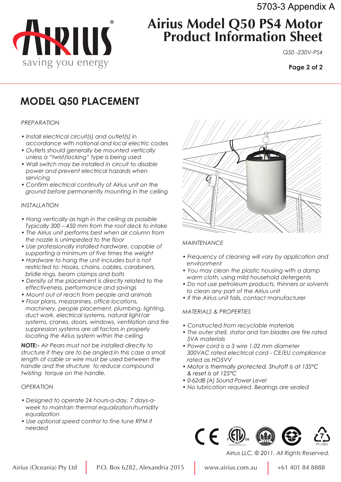5703-3 Appendix A



# **Airius Model Q50 PS4 Motor Product Information Sheet**

*Q50 -230V-PS4*

**Page 2 of 2**

# **MODEL Q50 PLACEMENT**

#### *PREPARATION*

- *ï Install electrical circuit(s) and outlet(s) in accordance with national and local electric codes*
- *ï Outlets should generally be mounted vertically unless a "twist/locking" type is being used*
- *ï Wall switch may be installed in circuit to disable power and prevent electrical hazards when servicing*
- *ï Confirm electrical continuity of Airius unit on the ground before permanently mounting in the ceiling*

#### *INSTALLATION*

- *ï Hang vertically as high in the ceiling as possible Typically 300 – 450 mm from the roof deck to intake*
- *ï The Airius unit performs best when air column from the nozzle is unimpeded to the floor*
- *ï Use professionally installed hardware, capable of supporting a minimum of five times the weight*
- *ï Hardware to hang the unit includes but is not restricted to: Hooks, chains, cables, carabiners, bridle rings, beam clamps and bolts*
- *ï Density of the placement is directly related to the effectiveness, performance and savings*
- *ï Mount out of reach from people and animals*
- *ï Floor plans, mezzanines, office locations, machinery, people placement, plumbing, lighting, duct work, electrical systems, natural light/air systems, cranes, doors, windows, ventilation and fire suppression systems are all factors in properly locating the Airius system within the ceiling*

*NOTE:- Air Pears must not be installed directly to structure if they are to be angled.In this case a small length of cable or wire must be used between the handle and the structure to reduce compound twisting torque on the handle.*

#### *OPERATION*

- *ï Designed to operate 24 hours-a-day, 7 days-a week to maintain thermal equalization/humidity equalization*
- *ï Use optional speed control to fine tune RPM if needed*



#### *MAINTENANCE*

- *ï Frequency of cleaning will vary by application and environment*
- *ï You may clean the plastic housing with a damp warm cloth, using mild household detergents*
- *ï Do not use petroleum products, thinners or solvents to clean any part of the Airius unit*
- *ï If the Airius unit fails, contact manufacturer*

#### *MATERIALS & PROPERTIES*

- *ï Constructed from recyclable materials*
- *ï The outer shell, stator and fan blades are fire rated 5VA materials*
- *ï Power cord is a 3 wire 1.02 mm diameter 300VAC rated electrical cord - CE/EU compliance rated as HO5VV*
- *ï Motor is thermally protected. Shutoff is at 135°C & reset is at 125°C*
- *ï 0-62dB (A) Sound Power Level*
- *ï No lubrication required. Bearings are sealed*



*Airius LLC, © 2011. All Rights Reserved.*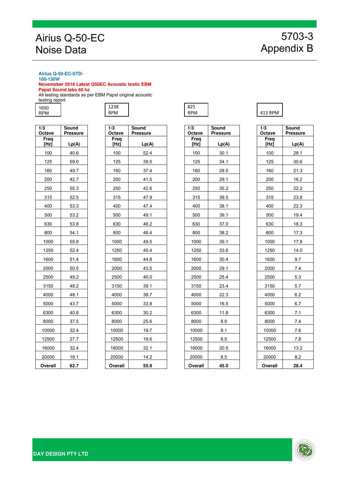## Airius Q-50-EC Noise Data

#### **Airius Q-50-EC-STD-100-130W**

**Novemeber 2016 Latest Q50EC Acoustic testic EBM** 

**Papst Sound labs 60 hz** 

All testing standards as per EBM Papst original acoustic testing report

| 1650 |  |
|------|--|
| RPM  |  |

| 1/3<br>Octave   | Sound<br><b>Pressure</b> |
|-----------------|--------------------------|
| Freq            |                          |
| [Hz]            | Lp(A)                    |
| 100             | 40.6                     |
| 125             | 59.0                     |
| 160             | 49.7                     |
| 200             | 42.7                     |
| 250             | 55.3                     |
| 315             | 52.5                     |
| 400             | 53.3                     |
| 500             | 53.2                     |
| 630             | 53.8                     |
| 800             | 54.1                     |
| 1000            | 55.9                     |
| 1250            | 52.4                     |
| 1600            | 51.4                     |
| <u>2000</u>     | 50.5                     |
| 2500            | 49.2                     |
| 3150            | 48.2                     |
| 4000            | 48.1                     |
| 5000            | 43.7                     |
| 6300            | 40.8                     |
| 8000            | 37.5                     |
| 10000           | 32.4                     |
| 12500           | 27.7                     |
| 16000           | 32.4                     |
| 20000           | 18.1                     |
| O <u>verall</u> | 62.7                     |

| 3<br>ctave     | Sound<br><b>Pressure</b> | 1/3<br>Octave | Sound<br><b>Pressure</b> | 1/3<br>Octave | <b>Sound</b><br><b>Pressure</b> | $\overline{1/3}$<br>Octave | <b>Sound</b><br>Pressur |
|----------------|--------------------------|---------------|--------------------------|---------------|---------------------------------|----------------------------|-------------------------|
| Freq<br>[Hz]   | Lp(A)                    | Freq<br>[Hz]  | Lp(A)                    | Freq<br>[Hz]  | Lp(A)                           | Freq<br>[Hz]               | Lp(A)                   |
| 100            | 40.6                     | 100           | 52.4                     | 100           | 30.1                            | 100                        | 28.1                    |
| 125            | 59.0                     | 125           | 39.5                     | 125           | 34.1                            | 125                        | 30.6                    |
| 160            | 49.7                     | 160           | 37.4                     | 160           | 28.5                            | 160                        | 21.3                    |
| 200            | 42.7                     | 200           | 41.5                     | 200           | 29.1                            | 200                        | 16.2                    |
| 250            | 55.3                     | 250           | 42.6                     | 250           | 35.2                            | 250                        | 22.2                    |
| 315            | 52.5                     | 315           | 47.9                     | 315           | 39.5                            | 315                        | 23.8                    |
| 400            | 53.3                     | 400           | 47.4                     | 400           | 38.1                            | 400                        | 22.3                    |
| 500            | 53.2                     | 500           | 49.1                     | 500           | 39.1                            | 500                        | 19.4                    |
| 630            | 53.8                     | 630           | 46.2                     | 630           | 37.0                            | 630                        | 18.3                    |
| 800            | 54.1                     | 800           | 48.4                     | 800           | 38.2                            | 800                        | 17.3                    |
| 1000           | 55.9                     | 1000          | 49.5                     | 1000          | 39.1                            | 1000                       | 17.8                    |
| 1250           | 52.4                     | 1250          | 45.4                     | 1250          | 33.6                            | 1250                       | 14.0                    |
| 1600           | 51.4                     | 1600          | 44.8                     | 1600          | 30.4                            | 1600                       | 9.7                     |
| 2000           | 50.5                     | 2000          | 43.5                     | 2000          | 29.1                            | 2000                       | 7.4                     |
| 2500           | 49.2                     | 2500          | 40.0                     | 2500          | 25.4                            | 2500                       | 5.3                     |
| 3150           | 48.2                     | 3150          | 39.1                     | 3150          | 23.4                            | 3150                       | 5.7                     |
| 4000           | 48.1                     | 4000          | 38.7                     | 4000          | 22.3                            | 4000                       | 6.2                     |
| 5000           | 43.7                     | 5000          | 33.8                     | 5000          | 16.5                            | 5000                       | 6.7                     |
| 6300           | 40.8                     | 6300          | 30.2                     | 6300          | 11.8                            | 6300                       | 7.1                     |
| 8000           | 37.5                     | 8000          | 25.6                     | 8000          | 8.9                             | 8000                       | 7.4                     |
| 10000          | 32.4                     | 10000         | 19.7                     | 10000         | 8.1                             | 10000                      | 7.6                     |
| 12500          | 27.7                     | 12500         | 19.6                     | 12500         | 8.5                             | 12500                      | 7.8                     |
| 16000          | 32.4                     | 16000         | 32.1                     | 16000         | 20.5                            | 16000                      | 13.2                    |
| 20000          | 18.1                     | 20000         | 14.2                     | 20000         | 8.5                             | 20000                      | 8.2                     |
| <b>Trangli</b> | 62.7                     | Overall       | 55 Q                     | Overall       | 45 O                            | Overall                    | <b>284</b>              |



| $\sqrt{3}$<br><b>Octave</b> | Sound<br><b>Pressure</b> | $\overline{1/3}$ | Octave       | Sound<br><b>Pressure</b> | $\overline{1/3}$<br>Octave | Sound<br>Pressure | $\overline{1/3}$<br>Octave | Sound<br>Pressur |
|-----------------------------|--------------------------|------------------|--------------|--------------------------|----------------------------|-------------------|----------------------------|------------------|
| Freq<br>[Hz]                | Lp(A)                    |                  | Freq<br>[Hz] | Lp(A)                    | Freq<br>[Hz]               | Lp(A)             | Freq<br>[Hz]               | Lp(A)            |
| 100                         | 40.6                     |                  | 100          | 52.4                     | 100                        | 30.1              | 100                        | 28.1             |
| 125                         | 59.0                     |                  | 125          | 39.5                     | 125                        | 34.1              | 125                        | 30.6             |
| 160                         | 49.7                     |                  | 160          | 37.4                     | 160                        | 28.5              | 160                        | 21.3             |
| 200                         | 42.7                     |                  | 200          | 41.5                     | 200                        | 29.1              | 200                        | 16.2             |
| 250                         | 55.3                     |                  | 250          | 42.6                     | 250                        | 35.2              | 250                        | 22.2             |
| 315                         | 52.5                     |                  | 315          | 47.9                     | 315                        | 39.5              | 315                        | 23.8             |
| 400                         | 53.3                     |                  | 400          | 47.4                     | 400                        | 38.1              | 400                        | 22.3             |
| 500                         | 53.2                     |                  | 500          | 49.1                     | 500                        | 39.1              | 500                        | 19.4             |
| 630                         | 53.8                     |                  | 630          | 46.2                     | 630                        | 37.0              | 630                        | 18.3             |
| 800                         | 54.1                     |                  | 800          | 48.4                     | 800                        | 38.2              | 800                        | 17.3             |
| 1000                        | 55.9                     |                  | 1000         | 49.5                     | 1000                       | 39.1              | 1000                       | 17.8             |
| 1250                        | 52.4                     |                  | 1250         | 45.4                     | 1250                       | 33.6              | 1250                       | 14.0             |
| 1600                        | 51.4                     |                  | 1600         | 44.8                     | 1600                       | 30.4              | 1600                       | 9.7              |
| 2000                        | 50.5                     |                  | 2000         | 43.5                     | 2000                       | 29.1              | 2000                       | 7.4              |
| 2500                        | 49.2                     |                  | 2500         | 40.0                     | 2500                       | 25.4              | 2500                       | 5.3              |
| 3150                        | 48.2                     |                  | 3150         | 39.1                     | 3150                       | 23.4              | 3150                       | 5.7              |
| 4000                        | 48.1                     |                  | 4000         | 38.7                     | 4000                       | 22.3              | 4000                       | 6.2              |
| 5000                        | 43.7                     |                  | 5000         | 33.8                     | 5000                       | 16.5              | 5000                       | 6.7              |
| 6300                        | 40.8                     |                  | 6300         | 30.2                     | 6300                       | 11.8              | 6300                       | 7.1              |
| 8000                        | 37.5                     |                  | 8000         | 25.6                     | 8000                       | 8.9               | 8000                       | 7.4              |
| 10000                       | 32.4                     |                  | 10000        | 19.7                     | 10000                      | 8.1               | 10000                      | 7.6              |
| 12500                       | 27.7                     |                  | 12500        | 19.6                     | 12500                      | 8.5               | 12500                      | 7.8              |
| 16000                       | 32.4                     |                  | 16000        | 32.1                     | 16000                      | 20.5              | 16000                      | 13.2             |
| 20000                       | 18.1                     |                  | 20000        | 14.2                     | 20000                      | 8.5               | 20000                      | 8.2              |
| Overall                     | 62.7                     |                  | Overall      | 55.9                     | Overall                    | 45.0              | Overall                    | 28.4             |

### RPM 413 RPM

| 1/3<br>Octave | Sound<br>Pressure |  |  |  |  |
|---------------|-------------------|--|--|--|--|
| Freq          |                   |  |  |  |  |
| [Hz]          | Lp(A)             |  |  |  |  |
| 100           | 28.1              |  |  |  |  |
| 125           | 30.6              |  |  |  |  |
| 160           | 21.3              |  |  |  |  |
| 200           | 16.2              |  |  |  |  |
| 250           | 22.2              |  |  |  |  |
| 315           | 23.8              |  |  |  |  |
| 400           | 22.3              |  |  |  |  |
| 500           | 19.4              |  |  |  |  |
| 630           | 18.3              |  |  |  |  |
| 800           | 17.3              |  |  |  |  |
| 1000          | 17 <sub>8</sub>   |  |  |  |  |
| 1250          | 14.0              |  |  |  |  |
| 1600          | 9.7               |  |  |  |  |
| 2000          | 7.4<br>5.3        |  |  |  |  |
| 2500          |                   |  |  |  |  |
| 3150          | 5.7               |  |  |  |  |
| 4000          | 6.2               |  |  |  |  |
| 5000          | 6.7               |  |  |  |  |
| 6300          | 7.1               |  |  |  |  |
| 8000          | 7.4               |  |  |  |  |
| 10000         | 7.6               |  |  |  |  |
| 12500         | 7.8               |  |  |  |  |
| 16000         | 13.2              |  |  |  |  |
| 20000         | 8.2               |  |  |  |  |
| Overall       | 28.4              |  |  |  |  |

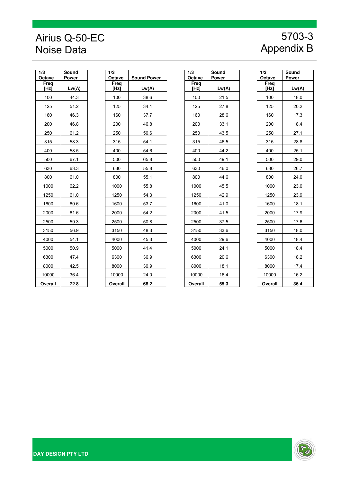## Airius Q-50-EC Noise Data

# 5703-3 Appendix B

| 1/3<br>Octave | Sound<br>Power |  |  |
|---------------|----------------|--|--|
| Freq<br>[Hz]  | Lw(A)          |  |  |
| 100           | 44.3           |  |  |
| 125           | 51.2           |  |  |
| 160           | 46.3           |  |  |
| 200           | 46.8           |  |  |
| 250           | 61.2           |  |  |
| 315           | 58.3           |  |  |
| 400           | 58.5           |  |  |
| 500           | 67.1           |  |  |
| 630           | 63.3           |  |  |
| 800           | 61.0           |  |  |
| 1000          | 62.2           |  |  |
| 1250          | 61.0           |  |  |
| 1600          | 60.6           |  |  |
| 2000          | 61.6           |  |  |
| 2500          | 59.3           |  |  |
| 3150          | 56.9           |  |  |
| 4000          | 54.1           |  |  |
| 5000          | 50.9           |  |  |
| 6300          | 47.4           |  |  |
| 8000          | 42.5           |  |  |
| 10000         | 36.4           |  |  |
| Overall       | 72.8           |  |  |

| $\overline{\mathbf{3}}$<br>ctave | Sound<br><b>Power</b> | 1/3<br>Octave | <b>Sound Power</b> | 1/3<br>Octave | Sound<br><b>Power</b> | 1/3<br>Octave | Sound<br><b>Power</b> |
|----------------------------------|-----------------------|---------------|--------------------|---------------|-----------------------|---------------|-----------------------|
| Freq<br>[Hz]                     | Lw(A)                 | Freq<br>[Hz]  | Lw(A)              | Freq<br>[Hz]  | Lw(A)                 | Freq<br>[Hz]  | Lw(A)                 |
| 100                              | 44.3                  | 100           | 38.6               | 100           | 21.5                  | 100           | 18.0                  |
| 125                              | 51.2                  | 125           | 34.1               | 125           | 27.8                  | 125           | 20.2                  |
| 160                              | 46.3                  | 160           | 37.7               | 160           | 28.6                  | 160           | 17.3                  |
| 200                              | 46.8                  | 200           | 46.8               | 200           | 33.1                  | 200           | 18.4                  |
| 250                              | 61.2                  | 250           | 50.6               | 250           | 43.5                  | 250           | 27.1                  |
| 315                              | 58.3                  | 315           | 54.1               | 315           | 46.5                  | 315           | 28.8                  |
| 400                              | 58.5                  | 400           | 54.6               | 400           | 44.2                  | 400           | 25.1                  |
| 500                              | 67.1                  | 500           | 65.8               | 500           | 49.1                  | 500           | 29.0                  |
| 630                              | 63.3                  | 630           | 55.8               | 630           | 46.0                  | 630           | 26.7                  |
| 800                              | 61.0                  | 800           | 55.1               | 800           | 44.6                  | 800           | 24.0                  |
| 1000                             | 62.2                  | 1000          | 55.8               | 1000          | 45.5                  | 1000          | 23.0                  |
| 1250                             | 61.0                  | 1250          | 54.3               | 1250          | 42.9                  | 1250          | 23.9                  |
| 1600                             | 60.6                  | 1600          | 53.7               | 1600          | 41.0                  | 1600          | 18.1                  |
| 2000                             | 61.6                  | 2000          | 54.2               | 2000          | 41.5                  | 2000          | 17.9                  |
| 2500                             | 59.3                  | 2500          | 50.8               | 2500          | 37.5                  | 2500          | 17.6                  |
| 3150                             | 56.9                  | 3150          | 48.3               | 3150          | 33.6                  | 3150          | 18.0                  |
| 4000                             | 54.1                  | 4000          | 45.3               | 4000          | 29.6                  | 4000          | 18.4                  |
| 5000                             | 50.9                  | 5000          | 41.4               | 5000          | 24.1                  | 5000          | 18.4                  |
| 6300                             | 47.4                  | 6300          | 36.9               | 6300          | 20.6                  | 6300          | 18.2                  |
| 8000                             | 42.5                  | 8000          | 30.9               | 8000          | 18.1                  | 8000          | 17.4                  |
| 10000                            | 36.4                  | 10000         | 24.0               | 10000         | 16.4                  | 10000         | 16.2                  |
| <b>Dverall</b>                   | 72.8                  | Overall       | 68.2               | Overall       | 55.3                  | Overall       | 36.4                  |

| 1/3<br>Octave | Sound<br>Power |  |  |
|---------------|----------------|--|--|
| Freq<br>[Hz]  | Lw(A)          |  |  |
| 100           | 21.5           |  |  |
| 125           | 27.8           |  |  |
| 160           | 28.6           |  |  |
| 200           | 33.1           |  |  |
| 250           | 43.5           |  |  |
| 315           | 46.5           |  |  |
| 400           | 44.2           |  |  |
| 500           | 49.1           |  |  |
| 630           | 46.0           |  |  |
| 800           | 44.6           |  |  |
| 1000          | 45.5           |  |  |
| 1250          | 42.9           |  |  |
| 1600          | 41.0           |  |  |
| 2000          | 41.5           |  |  |
| 2500          | 37.5           |  |  |
| 3150          | 33.6           |  |  |
| 4000          | 29.6           |  |  |
| 5000          | 24.1           |  |  |
| 6300          | 20.6           |  |  |
| 8000          | 18.1           |  |  |
| 10000         | <u>16.4</u>    |  |  |
| Overall       | 55.3           |  |  |

| 1/3<br>Octave | Sound<br>Power |
|---------------|----------------|
| Freq<br>[Hz]  | Lw(A)          |
| 100           | 18.0           |
| 125           | 20.2           |
| 160           | 173            |
| 200           | 18.4           |
| 250           | 27.1           |
| 315           | 28.8           |
| 400           | 25.1           |
| 500           | 29.0           |
| 630           | 26.7           |
| 800           | 24.0           |
| 1000          | 23.0           |
| 1250          | 23.9           |
| 1600          | 18.1           |
| 2000          | 179            |
| 2500          | 17.6           |
| 3150          | 18.0           |
| 4000          | 18.4           |
| 5000          | 18.4           |
| 6300          | 18.2           |
| 8000          | 17.4           |
| 10000         | 16.2           |
| Overall       | 36.4           |

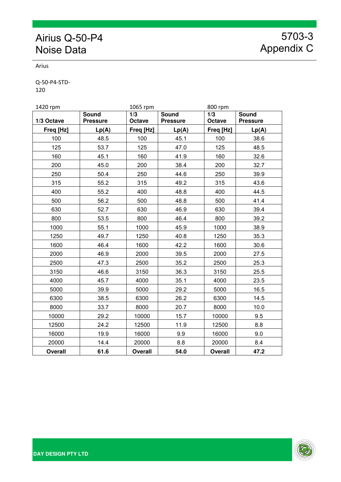## Airius Q-50-P4 Noise Data

5703-3 Appendix C

Arius

Q‐50‐P4‐STD‐ 120

| 1420 rpm       |                 | 1065 rpm       |                 | 800 rpm        |                 |  |
|----------------|-----------------|----------------|-----------------|----------------|-----------------|--|
|                | <b>Sound</b>    | 1/3            | <b>Sound</b>    | 1/3            | Sound           |  |
| 1/3 Octave     | <b>Pressure</b> | Octave         | <b>Pressure</b> | Octave         | <b>Pressure</b> |  |
| Freq [Hz]      | Lp(A)           | Freq [Hz]      | Lp(A)           | Freq [Hz]      | Lp(A)           |  |
| 100            | 48.5            | 100            | 45.1            | 100            | 38.6            |  |
| 125            | 53.7            | 125            | 47.0            | 125            | 48.5            |  |
| 160            | 45.1            | 160            | 41.9            | 160            | 32.6            |  |
| 200            | 45.0            | 200            | 38.4            | 200            | 32.7            |  |
| 250            | 50.4            | 250            | 44.6            | 250            | 39.9            |  |
| 315            | 55.2            | 315            | 49.2            | 315            | 43.6            |  |
| 400            | 55.2            | 400            | 48.8            | 400            | 44.5            |  |
| 500            | 56.2            | 500            | 48.8            | 500            | 41.4            |  |
| 630            | 52.7            | 630            | 46.9            | 630            | 39.4            |  |
| 800            | 53.5            | 800            | 46.4            | 800            | 39.2            |  |
| 1000           | 55.1            | 1000           | 45.9            | 1000           | 38.9            |  |
| 1250           | 49.7            | 1250           | 40.8            | 1250           | 35.3            |  |
| 1600           | 46.4            | 1600           | 42.2            | 1600           | 30.6            |  |
| 2000           | 46.9            | 2000           | 39.5            | 2000           | 27.5            |  |
| 2500           | 47.3            | 2500           | 35.2            | 2500           | 25.3            |  |
| 3150           | 46.6            | 3150           | 36.3            | 3150           | 25.5            |  |
| 4000           | 45.7            | 4000           | 35.1            | 4000           | 23.5            |  |
| 5000           | 39.9            | 5000           | 29.2            | 5000           | 16.5            |  |
| 6300           | 38.5            | 6300           | 26.2            | 6300           | 14.5            |  |
| 8000           | 33.7            | 8000           | 20.7            | 8000           | 10.0            |  |
| 10000          | 29.2            | 10000          | 15.7            | 10000          | 9.5             |  |
| 12500          | 24.2            | 12500          | 11.9            | 12500          | 8.8             |  |
| 16000          | 19.9            | 16000          | 9.9             | 16000          | 9.0             |  |
| 20000          | 14.4            | 20000          | 8.8             | 20000          | 8.4             |  |
| <b>Overall</b> | 61.6            | <b>Overall</b> | 54.0            | <b>Overall</b> | 47.2            |  |